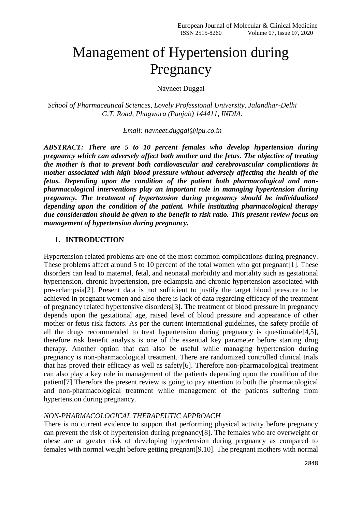# Management of Hypertension during Pregnancy

Navneet Duggal

*School of Pharmaceutical Sciences, Lovely Professional University, Jalandhar-Delhi G.T. Road, Phagwara (Punjab) 144411, INDIA.*

*Email: navneet.duggal@lpu.co.in*

*ABSTRACT: There are 5 to 10 percent females who develop hypertension during pregnancy which can adversely affect both mother and the fetus. The objective of treating the mother is that to prevent both cardiovascular and cerebrovascular complications in mother associated with high blood pressure without adversely affecting the health of the fetus. Depending upon the condition of the patient both pharmacological and nonpharmacological interventions play an important role in managing hypertension during pregnancy. The treatment of hypertension during pregnancy should be individualized depending upon the condition of the patient. While instituting pharmacological therapy due consideration should be given to the benefit to risk ratio. This present review focus on management of hypertension during pregnancy.*

# **1. INTRODUCTION**

Hypertension related problems are one of the most common complications during pregnancy. These problems affect around 5 to 10 percent of the total women who got pregnant[1]. These disorders can lead to maternal, fetal, and neonatal morbidity and mortality such as gestational hypertension, chronic hypertension, pre-eclampsia and chronic hypertension associated with pre-eclampsia[2]. Present data is not sufficient to justify the target blood pressure to be achieved in pregnant women and also there is lack of data regarding efficacy of the treatment of pregnancy related hypertensive disorders[3]. The treatment of blood pressure in pregnancy depends upon the gestational age, raised level of blood pressure and appearance of other mother or fetus risk factors. As per the current international guidelines, the safety profile of all the drugs recommended to treat hypertension during pregnancy is questionable[4,5], therefore risk benefit analysis is one of the essential key parameter before starting drug therapy. Another option that can also be useful while managing hypertension during pregnancy is non-pharmacological treatment. There are randomized controlled clinical trials that has proved their efficacy as well as safety[6]. Therefore non-pharmacological treatment can also play a key role in management of the patients depending upon the condition of the patient[7].Therefore the present review is going to pay attention to both the pharmacological and non-pharmacological treatment while management of the patients suffering from hypertension during pregnancy.

# *NON-PHARMACOLOGICAL THERAPEUTIC APPROACH*

There is no current evidence to support that performing physical activity before pregnancy can prevent the risk of hypertension during pregnancy[8]. The females who are overweight or obese are at greater risk of developing hypertension during pregnancy as compared to females with normal weight before getting pregnant[9,10]. The pregnant mothers with normal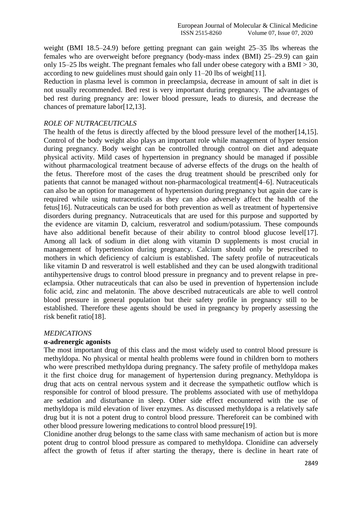weight (BMI 18.5–24.9) before getting pregnant can gain weight 25–35 lbs whereas the females who are overweight before pregnancy (body-mass index (BMI) 25–29.9) can gain only 15–25 lbs weight. The pregnant females who fall under obese category with a BMI  $>$  30, according to new guidelines must should gain only 11–20 lbs of weight[11].

Reduction in plasma level is common in preeclampsia, decrease in amount of salt in diet is not usually recommended. Bed rest is very important during pregnancy. The advantages of bed rest during pregnancy are: lower blood pressure, leads to diuresis, and decrease the chances of premature labor[12,13].

# *ROLE OF NUTRACEUTICALS*

The health of the fetus is directly affected by the blood pressure level of the mother[14,15]. Control of the body weight also plays an important role while management of hyper tension during pregnancy. Body weight can be controlled through control on diet and adequate physical activity. Mild cases of hypertension in pregnancy should be managed if possible without pharmacological treatment because of adverse effects of the drugs on the health of the fetus. Therefore most of the cases the drug treatment should be prescribed only for patients that cannot be managed without non-pharmacological treatment[4–6]. Nutraceuticals can also be an option for management of hypertension during pregnancy but again due care is required while using nutraceuticals as they can also adversely affect the health of the fetus[16]. Nutraceuticals can be used for both prevention as well as treatment of hypertensive disorders during pregnancy. Nutraceuticals that are used for this purpose and supported by the evidence are vitamin D, calcium, resveratrol and sodium/potassium. These compounds have also additional benefit because of their ability to control blood glucose level[17]. Among all lack of sodium in diet along with vitamin D supplements is most crucial in management of hypertension during pregnancy. Calcium should only be prescribed to mothers in which deficiency of calcium is established. The safety profile of nutraceuticals like vitamin D and resveratrol is well established and they can be used alongwith traditional antihypertensive drugs to control blood pressure in pregnancy and to prevent relapse in preeclampsia. Other nutraceuticals that can also be used in prevention of hypertension include folic acid, zinc and melatonin. The above described nutraceuticals are able to well control blood pressure in general population but their safety profile in pregnancy still to be established. Therefore these agents should be used in pregnancy by properly assessing the risk benefit ratio[18].

#### *MEDICATIONS*

#### **α-adrenergic agonists**

The most important drug of this class and the most widely used to control blood pressure is methyldopa. No physical or mental health problems were found in children born to mothers who were prescribed methyldopa during pregnancy. The safety profile of methyldopa makes it the first choice drug for management of hypertension during pregnancy. Methyldopa is drug that acts on central nervous system and it decrease the sympathetic outflow which is responsible for control of blood pressure. The problems associated with use of methyldopa are sedation and disturbance in sleep. Other side effect encountered with the use of methyldopa is mild elevation of liver enzymes. As discussed methyldopa is a relatively safe drug but it is not a potent drug to control blood pressure. Thereforeit can be combined with other blood pressure lowering medications to control blood pressure[19].

Clonidine another drug belongs to the same class with same mechanism of action but is more potent drug to control blood pressure as compared to methyldopa. Clonidine can adversely affect the growth of fetus if after starting the therapy, there is decline in heart rate of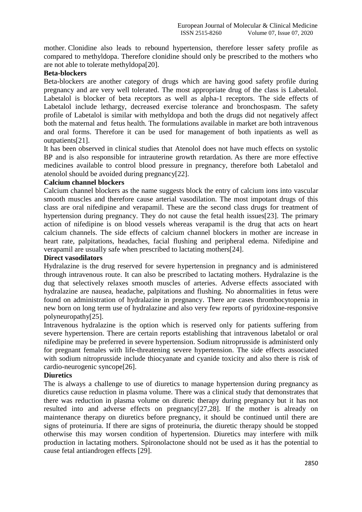mother. Clonidine also leads to rebound hypertension, therefore lesser safety profile as compared to methyldopa. Therefore clonidine should only be prescribed to the mothers who are not able to tolerate methyldopa[20].

# **Beta-blockers**

Beta-blockers are another category of drugs which are having good safety profile during pregnancy and are very well tolerated. The most appropriate drug of the class is Labetalol. Labetalol is blocker of beta receptors as well as alpha-1 receptors. The side effects of Labetalol include lethargy, decreased exercise tolerance and bronchospasm. The safety profile of Labetalol is similar with methyldopa and both the drugs did not negatively affect both the maternal and fetus health. The formulations available in market are both intravenous and oral forms. Therefore it can be used for management of both inpatients as well as outpatients[21].

It has been observed in clinical studies that Atenolol does not have much effects on systolic BP and is also responsible for intrauterine growth retardation. As there are more effective medicines available to control blood pressure in pregnancy, therefore both Labetalol and atenolol should be avoided during pregnancy[22].

# **Calcium channel blockers**

Calcium channel blockers as the name suggests block the entry of calcium ions into vascular smooth muscles and therefore cause arterial vasodilation. The most impotant drugs of this class are oral nifedipine and verapamil. These are the second class drugs for treatment of hypertension during pregnancy. They do not cause the fetal health issues[23]. The primary action of nifedipine is on blood vessels whereas verapamil is the drug that acts on heart calcium channels. The side effects of calcium channel blockers in mother are increase in heart rate, palpitations, headaches, facial flushing and peripheral edema. Nifedipine and verapamil are usually safe when prescribed to lactating mothers[24].

# **Direct vasodilators**

Hydralazine is the drug reserved for severe hypertension in pregnancy and is administered through intravenous route. It can also be prescribed to lactating mothers. Hydralazine is the dug that selectively relaxes smooth muscles of arteries. Adverse effects associated with hydralazine are nausea, headache, palpitations and flushing. No abnormalities in fetus were found on administration of hydralazine in pregnancy. There are cases thrombocytopenia in new born on long term use of hydralazine and also very few reports of pyridoxine-responsive polyneuropathy[25].

Intravenous hydralazine is the option which is reserved only for patients suffering from severe hypertension. There are certain reports establishing that intravenous labetalol or oral nifedipine may be preferred in severe hypertension. Sodium nitroprusside is administerd only for pregnant females with life-threatening severe hypertension. The side effects associated with sodium nitroprusside include thiocyanate and cyanide toxicity and also there is risk of cardio-neurogenic syncope[26].

# **Diuretics**

The is always a challenge to use of diuretics to manage hypertension during pregnancy as diuretics cause reduction in plasma volume. There was a clinical study that demonstrates that there was reduction in plasma volume on diuretic therapy during pregnancy but it has not resulted into and adverse effects on pregnancy[27,28]. If the mother is already on maintenance therapy on diuretics before pregnancy, it should be continued until there are signs of proteinuria. If there are signs of proteinuria, the diuretic therapy should be stopped otherwise this may worsen condition of hypertension. Diuretics may interfere with milk production in lactating mothers. Spironolactone should not be used as it has the potential to cause fetal antiandrogen effects [29].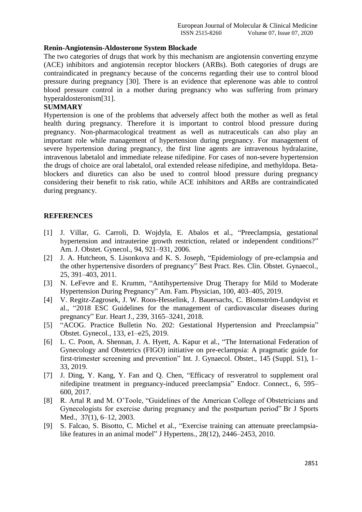# **Renin-Angiotensin-Aldosterone System Blockade**

The two categories of drugs that work by this mechanism are angiotensin converting enzyme (ACE) inhibitors and angiotensin receptor blockers (ARBs). Both categories of drugs are contraindicated in pregnancy because of the concerns regarding their use to control blood pressure during pregnancy [30]. There is an evidence that eplerenone was able to control blood pressure control in a mother during pregnancy who was suffering from primary hyperaldosteronism[31].

# **SUMMARY**

Hypertension is one of the problems that adversely affect both the mother as well as fetal health during pregnancy. Therefore it is important to control blood pressure during pregnancy. Non-pharmacological treatment as well as nutraceuticals can also play an important role while management of hypertension during pregnancy. For management of severe hypertension during pregnancy, the first line agents are intravenous hydralazine, intravenous labetalol and immediate release nifedipine. For cases of non-severe hypertension the drugs of choice are oral labetalol, oral extended release nifedipine, and methyldopa. Betablockers and diuretics can also be used to control blood pressure during pregnancy considering their benefit to risk ratio, while ACE inhibitors and ARBs are contraindicated during pregnancy.

# **REFERENCES**

- [1] J. Villar, G. Carroli, D. Wojdyla, E. Abalos et al., "Preeclampsia, gestational hypertension and intrauterine growth restriction, related or independent conditions?" Am. J. Obstet. Gynecol., 94, 921–931, 2006.
- [2] J. A. Hutcheon, S. Lisonkova and K. S. Joseph, "Epidemiology of pre-eclampsia and the other hypertensive disorders of pregnancy" Best Pract. Res. Clin. Obstet. Gynaecol., 25, 391–403, 2011.
- [3] N. LeFevre and E. Krumm, "Antihypertensive Drug Therapy for Mild to Moderate Hypertension During Pregnancy" Am. Fam. Physician, 100, 403–405, 2019.
- [4] V. Regitz-Zagrosek, J. W. Roos-Hesselink, J. Bauersachs, C. Blomström-Lundqvist et al., "2018 ESC Guidelines for the management of cardiovascular diseases during pregnancy" Eur. Heart J., 239, 3165–3241, 2018.
- [5] "ACOG. Practice Bulletin No. 202: Gestational Hypertension and Preeclampsia" Obstet. Gynecol., 133, e1–e25, 2019.
- [6] L. C. Poon, A. Shennan, J. A. Hyett, A. Kapur et al., "The International Federation of Gynecology and Obstetrics (FIGO) initiative on pre-eclampsia: A pragmatic guide for first-trimester screening and prevention" Int. J. Gynaecol. Obstet., 145 (Suppl. S1), 1– 33, 2019.
- [7] J. Ding, Y. Kang, Y. Fan and Q. Chen, "Efficacy of resveratrol to supplement oral nifedipine treatment in pregnancy-induced preeclampsia" Endocr. Connect., 6, 595– 600, 2017.
- [8] R. Artal R and M. O'Toole, "Guidelines of the American College of Obstetricians and Gynecologists for exercise during pregnancy and the postpartum period" Br J Sports Med., 37(1), 6–12, 2003.
- [9] S. Falcao, S. Bisotto, C. Michel et al., "Exercise training can attenuate preeclampsialike features in an animal model" J Hypertens., 28(12), 2446–2453, 2010.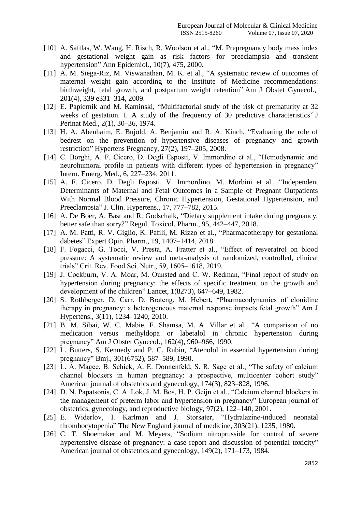- [10] A. Saftlas, W. Wang, H. Risch, R. Woolson et al., "M. Prepregnancy body mass index and gestational weight gain as risk factors for preeclampsia and transient hypertension" Ann Epidemiol., 10(7), 475, 2000.
- [11] A. M. Siega-Riz, M. Viswanathan, M. K. et al., "A systematic review of outcomes of maternal weight gain according to the Institute of Medicine recommendations: birthweight, fetal growth, and postpartum weight retention" Am J Obstet Gynecol., 201(4), 339 e331–314, 2009.
- [12] E. Papiernik and M. Kaminski, "Multifactorial study of the risk of prematurity at 32 weeks of gestation. I. A study of the frequency of 30 predictive characteristics" J Perinat Med., 2(1), 30–36, 1974.
- [13] H. A. Abenhaim, E. Bujold, A. Benjamin and R. A. Kinch, "Evaluating the role of bedrest on the prevention of hypertensive diseases of pregnancy and growth restriction" Hypertens Pregnancy, 27(2), 197–205, 2008.
- [14] C. Borghi, A. F. Cicero, D. Degli Esposti, V. Immordino et al., "Hemodynamic and neurohumoral profile in patients with different types of hypertension in pregnancy" Intern. Emerg. Med., 6, 227–234, 2011.
- [15] A. F. Cicero, D. Degli Esposti, V. Immordino, M. Morbini et al., "Independent Determinants of Maternal and Fetal Outcomes in a Sample of Pregnant Outpatients With Normal Blood Pressure, Chronic Hypertension, Gestational Hypertension, and Preeclampsia" J. Clin. Hypertens., 17, 777–782, 2015.
- [16] A. De Boer, A. Bast and R. Godschalk, "Dietary supplement intake during pregnancy; better safe than sorry?" Regul. Toxicol. Pharm., 95, 442–447, 2018.
- [17] A. M. Patti, R. V. Giglio, K. Pafili, M. Rizzo et al., "Pharmacotherapy for gestational dabetes" Expert Opin. Pharm., 19, 1407–1414, 2018.
- [18] F. Fogacci, G. Tocci, V. Presta, A. Fratter et al., "Effect of resveratrol on blood pressure: A systematic review and meta-analysis of randomized, controlled, clinical trials" Crit. Rev. Food Sci. Nutr., 59, 1605–1618, 2019.
- [19] J. Cockburn, V. A. Moar, M. Ounsted and C. W. Redman, "Final report of study on hypertension during pregnancy: the effects of specific treatment on the growth and development of the children" Lancet, 1(8273), 647–649, 1982.
- [20] S. Rothberger, D. Carr, D. Brateng, M. Hebert, "Pharmacodynamics of clonidine therapy in pregnancy: a heterogeneous maternal response impacts fetal growth" Am J Hypertens., 3(11), 1234–1240, 2010.
- [21] B. M. Sibai, W. C. Mabie, F. Shamsa, M. A. Villar et al., "A comparison of no medication versus methyldopa or labetalol in chronic hypertension during pregnancy" Am J Obstet Gynecol., 162(4), 960–966, 1990.
- [22] L. Butters, S. Kennedy and P. C. Rubin, "Atenolol in essential hypertension during pregnancy" Bmj., 301(6752), 587–589, 1990.
- [23] L. A. Magee, B. Schick, A. E. Donnenfeld, S. R. Sage et al., "The safety of calcium channel blockers in human pregnancy: a prospective, multicenter cohort study" American journal of obstetrics and gynecology, 174(3), 823–828, 1996.
- [24] D. N. Papatsonis, C. A. Lok, J. M. Bos, H. P. Geijn et al., "Calcium channel blockers in the management of preterm labor and hypertension in pregnancy" European journal of obstetrics, gynecology, and reproductive biology, 97(2), 122–140, 2001.
- [25] E. Widerlov, I. Karlman and J. Storsater, "Hydralazine-induced neonatal thrombocytopenia" The New England journal of medicine, 303(21), 1235, 1980.
- [26] C. T. Shoemaker and M. Meyers, "Sodium nitroprusside for control of severe hypertensive disease of pregnancy: a case report and discussion of potential toxicity" American journal of obstetrics and gynecology, 149(2), 171–173, 1984.